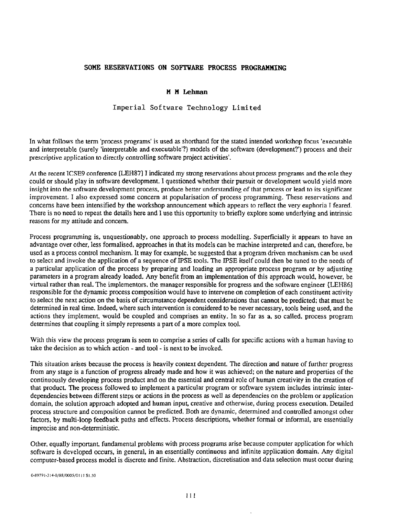## SOME RRSERVATIONS ON SOFTWARE PROCESS PROGRAMMING

## **M M Lehman**

## Imperial Software Technology Limited

In what follows the term 'process programs' is used as shorthand for the stated intended workshop focus 'executable and interpretable (surely 'interpretable and executable'?) models of the software (development?') process and their prescriptive application to directly controlling software project activities'.

At the recent ICSE9 conference [LEH87] I indicated my strong reservations about process programs and the role they could or should play in software development. I questioned whether their pursuit or development would yield more insight into the software development process, produce better understanding of that process or lead to its significant improvement. I also expressed some concern at popularisation of process programming. These reservations and concerns have been intensified by the workshop announcement which appears to reflect the very euphoria I feared. There is no need to repeat the details here and 1 use this opportunity to briefly explore some underlying and intrinsic reasons for my attitude and concern.

Process programming is, unquestionably, one approach to process modelling. Superficially it appears to have an advantage over other, less forrnalised, approaches in that its models can be machine interpreted and can, therefore, be used as a process control mechanism. It may for example, be suggested that a program driven mechanism can be used to select and invoke the application of a sequence of IPSE tools. The IPSE itself could then be tuned to the needs of a particular application of the process by preparing and loading an appropriate process program or by adjusting parameters in a program already loaded. Any benefit from an implementation of this approach would, however, be virtual rather than real. The implementors, the manager responsible for progress and the software engineer (LEH86] responsible for the dynamic process composition would have to intervene on completion of each constituent activity to select the next action on the basis of circumstance dependent considerations that cannot be predicted; that must be determined in real time. Indeed, where such intervention is considered to be never necessary, tools being used, and the actions they implement, would be coupled and comprises an entity. In so far as a, so called, process program determines that coupling it simply represents a part of a more complex tool.

With this view the process program is seen to comprise a series of calls for specific actions with a human having to take the decision as to which action - and tool - is next to be invoked.

This situation arises because the process is heavily context dependent. The direction and nature of further progress from any stage is a function of progress already made and how it was achieved; on the nature and properties of the continuously developing process product and on the essential and central role of human creativity in the creation of that product. The process followed to implement a particular program or software system includes intrinsic interdependencies between different steps or actions in the process as well as dependencies on the problem or application domain, the solution approach adopted and human input, creative and otherwise, during process execution. Detailed process structure and composition cannot be predicted. Both are dynamic, determined and controlled amongst other factors, by multi-loop feedback paths and effects. Process descriptions, whether formal or informal, are essentially imprecise and non-deterministic.

Other, equally important, fundamental problems with process programs arise because computer application for which software is developed occurs, in general, in an essentially continuous and infinite application domain. Any digital computer-based process model is discrete and finite. Abstraction, discretisation and data selection must occur during

0-89791-314-O/88/0005/01 11 \$1.50